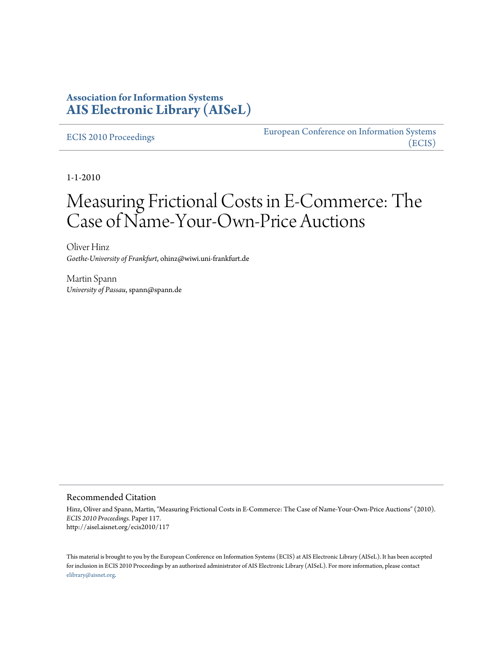# **Association for Information Systems [AIS Electronic Library \(AISeL\)](http://aisel.aisnet.org)**

[ECIS 2010 Proceedings](http://aisel.aisnet.org/ecis2010) **EURIC EURIC EURIC EURIC EURIC ECIS** [\(ECIS\)](http://aisel.aisnet.org/ecis)

1-1-2010

# Measuring Frictional Costs in E-Commerce: The Case of Name-Your-Own-Price Auctions

Oliver Hinz *Goethe-University of Frankfurt*, ohinz@wiwi.uni-frankfurt.de

Martin Spann *University of Passau*, spann@spann.de

#### Recommended Citation

Hinz, Oliver and Spann, Martin, "Measuring Frictional Costs in E-Commerce: The Case of Name-Your-Own-Price Auctions" (2010). *ECIS 2010 Proceedings.* Paper 117. http://aisel.aisnet.org/ecis2010/117

This material is brought to you by the European Conference on Information Systems (ECIS) at AIS Electronic Library (AISeL). It has been accepted for inclusion in ECIS 2010 Proceedings by an authorized administrator of AIS Electronic Library (AISeL). For more information, please contact [elibrary@aisnet.org.](mailto:elibrary@aisnet.org>)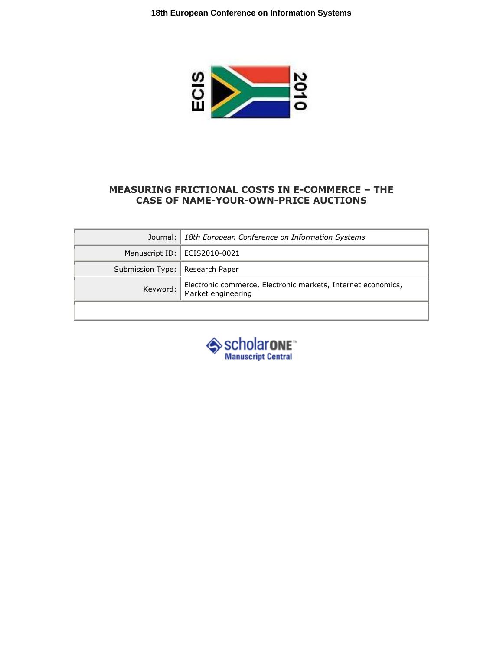

# MEASURING FRICTIONAL COSTS IN E-COMMERCE – THE CASE OF NAME-YOUR-OWN-PRICE AUCTIONS

|                                   | Journal:   18th European Conference on Information Systems                         |  |  |
|-----------------------------------|------------------------------------------------------------------------------------|--|--|
|                                   | Manuscript ID:   ECIS2010-0021                                                     |  |  |
| Submission Type:   Research Paper |                                                                                    |  |  |
| Keyword:                          | Electronic commerce, Electronic markets, Internet economics,<br>Market engineering |  |  |
|                                   |                                                                                    |  |  |

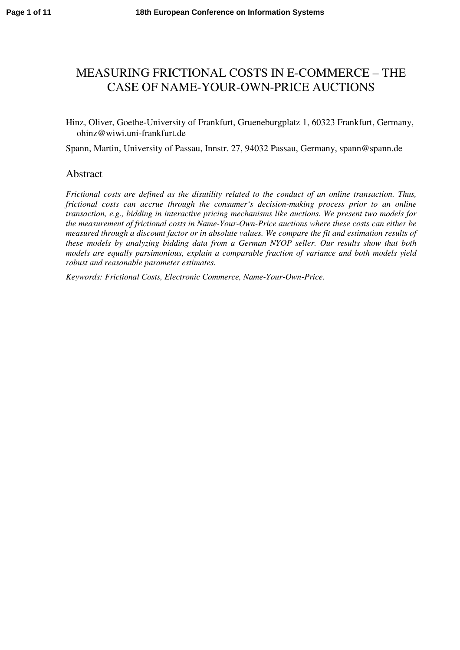# MEASURING FRICTIONAL COSTS IN E-COMMERCE – THE CASE OF NAME-YOUR-OWN-PRICE AUCTIONS

# Hinz, Oliver, Goethe-University of Frankfurt, Grueneburgplatz 1, 60323 Frankfurt, Germany, ohinz@wiwi.uni-frankfurt.de

Spann, Martin, University of Passau, Innstr. 27, 94032 Passau, Germany, spann@spann.de

# Abstract

*Frictional costs are defined as the disutility related to the conduct of an online transaction. Thus, frictional costs can accrue through the consumer's decision-making process prior to an online transaction, e.g., bidding in interactive pricing mechanisms like auctions. We present two models for the measurement of frictional costs in Name-Your-Own-Price auctions where these costs can either be measured through a discount factor or in absolute values. We compare the fit and estimation results of these models by analyzing bidding data from a German NYOP seller. Our results show that both models are equally parsimonious, explain a comparable fraction of variance and both models yield robust and reasonable parameter estimates.* 

*Keywords: Frictional Costs, Electronic Commerce, Name-Your-Own-Price.*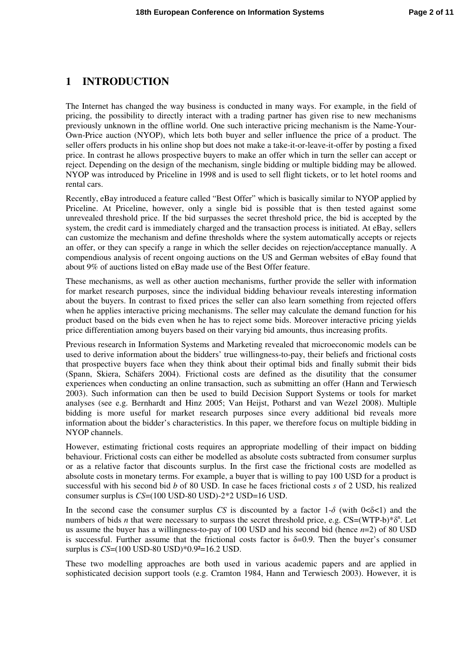# **1 INTRODUCTION**

The Internet has changed the way business is conducted in many ways. For example, in the field of pricing, the possibility to directly interact with a trading partner has given rise to new mechanisms previously unknown in the offline world. One such interactive pricing mechanism is the Name-Your-Own-Price auction (NYOP), which lets both buyer and seller influence the price of a product. The seller offers products in his online shop but does not make a take-it-or-leave-it-offer by posting a fixed price. In contrast he allows prospective buyers to make an offer which in turn the seller can accept or reject. Depending on the design of the mechanism, single bidding or multiple bidding may be allowed. NYOP was introduced by Priceline in 1998 and is used to sell flight tickets, or to let hotel rooms and rental cars.

Recently, eBay introduced a feature called "Best Offer" which is basically similar to NYOP applied by Priceline. At Priceline, however, only a single bid is possible that is then tested against some unrevealed threshold price. If the bid surpasses the secret threshold price, the bid is accepted by the system, the credit card is immediately charged and the transaction process is initiated. At eBay, sellers can customize the mechanism and define thresholds where the system automatically accepts or rejects an offer, or they can specify a range in which the seller decides on rejection/acceptance manually. A compendious analysis of recent ongoing auctions on the US and German websites of eBay found that about 9% of auctions listed on eBay made use of the Best Offer feature.

These mechanisms, as well as other auction mechanisms, further provide the seller with information for market research purposes, since the individual bidding behaviour reveals interesting information about the buyers. In contrast to fixed prices the seller can also learn something from rejected offers when he applies interactive pricing mechanisms. The seller may calculate the demand function for his product based on the bids even when he has to reject some bids. Moreover interactive pricing yields price differentiation among buyers based on their varying bid amounts, thus increasing profits.

Previous research in Information Systems and Marketing revealed that microeconomic models can be used to derive information about the bidders' true willingness-to-pay, their beliefs and frictional costs that prospective buyers face when they think about their optimal bids and finally submit their bids (Spann, Skiera, Schäfers 2004). Frictional costs are defined as the disutility that the consumer experiences when conducting an online transaction, such as submitting an offer (Hann and Terwiesch 2003). Such information can then be used to build Decision Support Systems or tools for market analyses (see e.g. Bernhardt and Hinz 2005; Van Heijst, Potharst and van Wezel 2008). Multiple bidding is more useful for market research purposes since every additional bid reveals more information about the bidder's characteristics. In this paper, we therefore focus on multiple bidding in NYOP channels.

However, estimating frictional costs requires an appropriate modelling of their impact on bidding behaviour. Frictional costs can either be modelled as absolute costs subtracted from consumer surplus or as a relative factor that discounts surplus. In the first case the frictional costs are modelled as absolute costs in monetary terms. For example, a buyer that is willing to pay 100 USD for a product is successful with his second bid *b* of 80 USD. In case he faces frictional costs *s* of 2 USD, his realized consumer surplus is *CS*=(100 USD-80 USD)-2\*2 USD=16 USD.

In the second case the consumer surplus *CS* is discounted by a factor  $1-\delta$  (with  $0<\delta<1$ ) and the numbers of bids *n* that were necessary to surpass the secret threshold price, e.g.  $CS = (WTP-b)*\delta^n$ . Let us assume the buyer has a willingness-to-pay of 100 USD and his second bid (hence *n*=2) of 80 USD is successful. Further assume that the frictional costs factor is  $\delta=0.9$ . Then the buyer's consumer surplus is *CS*=(100 USD-80 USD)\*0.9<sup>2</sup>=16.2 USD.

These two modelling approaches are both used in various academic papers and are applied in sophisticated decision support tools (e.g. Cramton 1984, Hann and Terwiesch 2003). However, it is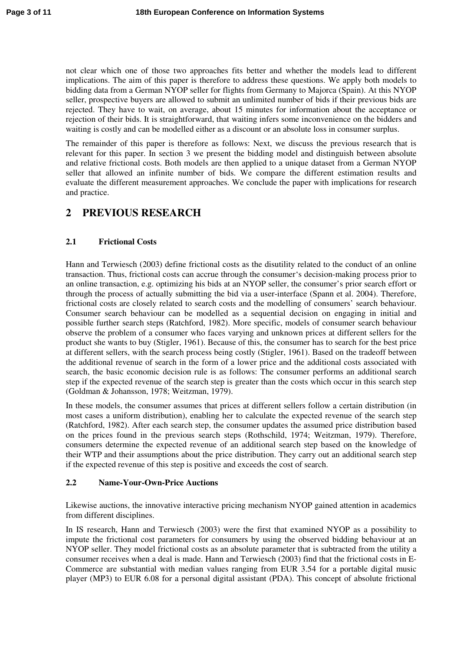not clear which one of those two approaches fits better and whether the models lead to different implications. The aim of this paper is therefore to address these questions. We apply both models to bidding data from a German NYOP seller for flights from Germany to Majorca (Spain). At this NYOP seller, prospective buyers are allowed to submit an unlimited number of bids if their previous bids are rejected. They have to wait, on average, about 15 minutes for information about the acceptance or rejection of their bids. It is straightforward, that waiting infers some inconvenience on the bidders and waiting is costly and can be modelled either as a discount or an absolute loss in consumer surplus.

The remainder of this paper is therefore as follows: Next, we discuss the previous research that is relevant for this paper. In section 3 we present the bidding model and distinguish between absolute and relative frictional costs. Both models are then applied to a unique dataset from a German NYOP seller that allowed an infinite number of bids. We compare the different estimation results and evaluate the different measurement approaches. We conclude the paper with implications for research and practice.

# **2 PREVIOUS RESEARCH**

# **2.1 Frictional Costs**

Hann and Terwiesch (2003) define frictional costs as the disutility related to the conduct of an online transaction. Thus, frictional costs can accrue through the consumer's decision-making process prior to an online transaction, e.g. optimizing his bids at an NYOP seller, the consumer's prior search effort or through the process of actually submitting the bid via a user-interface (Spann et al. 2004). Therefore, frictional costs are closely related to search costs and the modelling of consumers' search behaviour. Consumer search behaviour can be modelled as a sequential decision on engaging in initial and possible further search steps (Ratchford, 1982). More specific, models of consumer search behaviour observe the problem of a consumer who faces varying and unknown prices at different sellers for the product she wants to buy (Stigler, 1961). Because of this, the consumer has to search for the best price at different sellers, with the search process being costly (Stigler, 1961). Based on the tradeoff between the additional revenue of search in the form of a lower price and the additional costs associated with search, the basic economic decision rule is as follows: The consumer performs an additional search step if the expected revenue of the search step is greater than the costs which occur in this search step (Goldman & Johansson, 1978; Weitzman, 1979).

In these models, the consumer assumes that prices at different sellers follow a certain distribution (in most cases a uniform distribution), enabling her to calculate the expected revenue of the search step (Ratchford, 1982). After each search step, the consumer updates the assumed price distribution based on the prices found in the previous search steps (Rothschild, 1974; Weitzman, 1979). Therefore, consumers determine the expected revenue of an additional search step based on the knowledge of their WTP and their assumptions about the price distribution. They carry out an additional search step if the expected revenue of this step is positive and exceeds the cost of search.

#### **2.2 Name-Your-Own-Price Auctions**

Likewise auctions, the innovative interactive pricing mechanism NYOP gained attention in academics from different disciplines.

In IS research, Hann and Terwiesch (2003) were the first that examined NYOP as a possibility to impute the frictional cost parameters for consumers by using the observed bidding behaviour at an NYOP seller. They model frictional costs as an absolute parameter that is subtracted from the utility a consumer receives when a deal is made. Hann and Terwiesch (2003) find that the frictional costs in E-Commerce are substantial with median values ranging from EUR 3.54 for a portable digital music player (MP3) to EUR 6.08 for a personal digital assistant (PDA). This concept of absolute frictional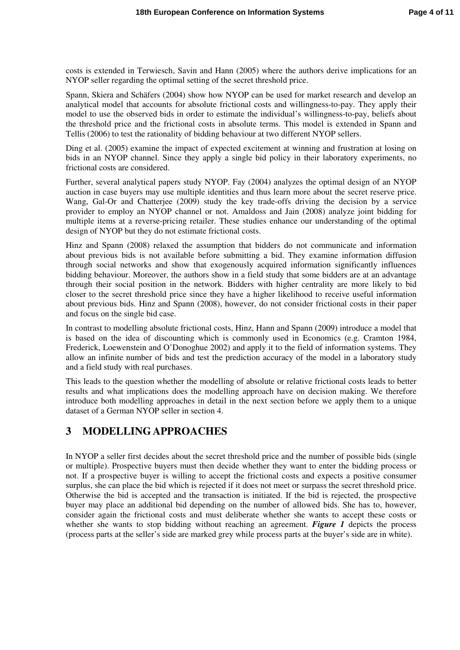costs is extended in Terwiesch, Savin and Hann (2005) where the authors derive implications for an NYOP seller regarding the optimal setting of the secret threshold price.

Spann, Skiera and Schäfers (2004) show how NYOP can be used for market research and develop an analytical model that accounts for absolute frictional costs and willingness-to-pay. They apply their model to use the observed bids in order to estimate the individual's willingness-to-pay, beliefs about the threshold price and the frictional costs in absolute terms. This model is extended in Spann and Tellis (2006) to test the rationality of bidding behaviour at two different NYOP sellers.

Ding et al. (2005) examine the impact of expected excitement at winning and frustration at losing on bids in an NYOP channel. Since they apply a single bid policy in their laboratory experiments, no frictional costs are considered.

Further, several analytical papers study NYOP. Fay (2004) analyzes the optimal design of an NYOP auction in case buyers may use multiple identities and thus learn more about the secret reserve price. Wang, Gal-Or and Chatterjee (2009) study the key trade-offs driving the decision by a service provider to employ an NYOP channel or not. Amaldoss and Jain (2008) analyze joint bidding for multiple items at a reverse-pricing retailer. These studies enhance our understanding of the optimal design of NYOP but they do not estimate frictional costs.

Hinz and Spann (2008) relaxed the assumption that bidders do not communicate and information about previous bids is not available before submitting a bid. They examine information diffusion through social networks and show that exogenously acquired information significantly influences bidding behaviour. Moreover, the authors show in a field study that some bidders are at an advantage through their social position in the network. Bidders with higher centrality are more likely to bid closer to the secret threshold price since they have a higher likelihood to receive useful information about previous bids. Hinz and Spann (2008), however, do not consider frictional costs in their paper and focus on the single bid case.

In contrast to modelling absolute frictional costs, Hinz, Hann and Spann (2009) introduce a model that is based on the idea of discounting which is commonly used in Economics (e.g. Cramton 1984, Frederick, Loewenstein and O'Donoghue 2002) and apply it to the field of information systems. They allow an infinite number of bids and test the prediction accuracy of the model in a laboratory study and a field study with real purchases.

This leads to the question whether the modelling of absolute or relative frictional costs leads to better results and what implications does the modelling approach have on decision making. We therefore introduce both modelling approaches in detail in the next section before we apply them to a unique dataset of a German NYOP seller in section 4.

# **3 MODELLING APPROACHES**

In NYOP a seller first decides about the secret threshold price and the number of possible bids (single or multiple). Prospective buyers must then decide whether they want to enter the bidding process or not. If a prospective buyer is willing to accept the frictional costs and expects a positive consumer surplus, she can place the bid which is rejected if it does not meet or surpass the secret threshold price. Otherwise the bid is accepted and the transaction is initiated. If the bid is rejected, the prospective buyer may place an additional bid depending on the number of allowed bids. She has to, however, consider again the frictional costs and must deliberate whether she wants to accept these costs or whether she wants to stop bidding without reaching an agreement. *Figure 1* depicts the process (process parts at the seller's side are marked grey while process parts at the buyer's side are in white).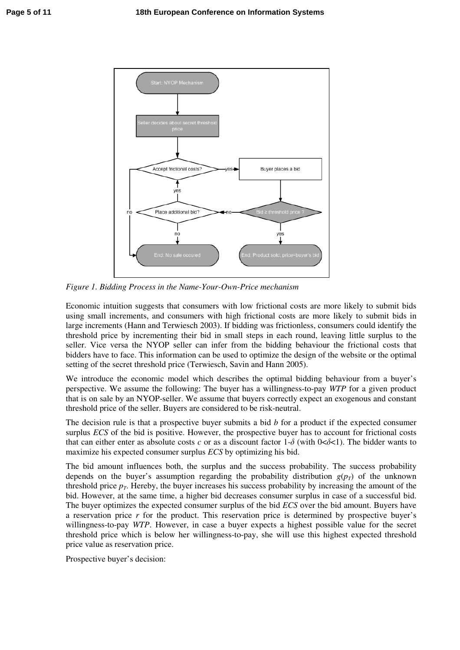

*Figure 1. Bidding Process in the Name-Your-Own-Price mechanism* 

Economic intuition suggests that consumers with low frictional costs are more likely to submit bids using small increments, and consumers with high frictional costs are more likely to submit bids in large increments (Hann and Terwiesch 2003). If bidding was frictionless, consumers could identify the threshold price by incrementing their bid in small steps in each round, leaving little surplus to the seller. Vice versa the NYOP seller can infer from the bidding behaviour the frictional costs that bidders have to face. This information can be used to optimize the design of the website or the optimal setting of the secret threshold price (Terwiesch, Savin and Hann 2005).

We introduce the economic model which describes the optimal bidding behaviour from a buyer's perspective. We assume the following: The buyer has a willingness-to-pay *WTP* for a given product that is on sale by an NYOP-seller. We assume that buyers correctly expect an exogenous and constant threshold price of the seller. Buyers are considered to be risk-neutral.

The decision rule is that a prospective buyer submits a bid *b* for a product if the expected consumer surplus *ECS* of the bid is positive. However, the prospective buyer has to account for frictional costs that can either enter as absolute costs *c* or as a discount factor  $1-\delta$  (with  $0<\delta<1$ ). The bidder wants to maximize his expected consumer surplus *ECS* by optimizing his bid.

The bid amount influences both, the surplus and the success probability. The success probability depends on the buyer's assumption regarding the probability distribution  $g(p_T)$  of the unknown threshold price  $p<sub>T</sub>$ . Hereby, the buyer increases his success probability by increasing the amount of the bid. However, at the same time, a higher bid decreases consumer surplus in case of a successful bid. The buyer optimizes the expected consumer surplus of the bid *ECS* over the bid amount. Buyers have a reservation price *r* for the product. This reservation price is determined by prospective buyer's willingness-to-pay *WTP*. However, in case a buyer expects a highest possible value for the secret threshold price which is below her willingness-to-pay, she will use this highest expected threshold price value as reservation price.

Prospective buyer's decision: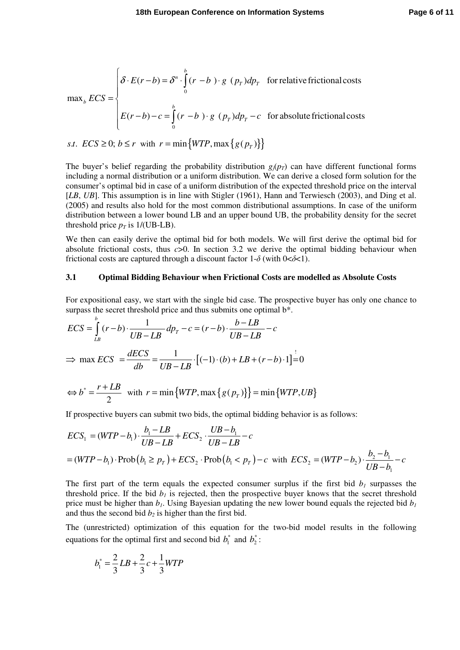$$
\max_{b} ECS = \begin{cases} \delta \cdot E(r-b) = \delta^{n} \cdot \int_{0}^{b} (r-b) \cdot g(p_{T}) dp_{T} & \text{for relative frictional costs} \\ E(r-b) - c = \int_{0}^{b} (r-b) \cdot g(p_{T}) dp_{T} - c & \text{for absolute frictional costs} \end{cases}
$$

*s.t.*  $\text{ECS} \geq 0$ ;  $b \leq r$  with  $r = \min \{WTP, \max \{ g(p_r) \} \}$ 

The buyer's belief regarding the probability distribution  $g_i(p_T)$  can have different functional forms including a normal distribution or a uniform distribution. We can derive a closed form solution for the consumer's optimal bid in case of a uniform distribution of the expected threshold price on the interval [*LB*, *UB*]. This assumption is in line with Stigler (1961), Hann and Terwiesch (2003), and Ding et al. (2005) and results also hold for the most common distributional assumptions. In case of the uniform distribution between a lower bound LB and an upper bound UB, the probability density for the secret threshold price  $p_T$  is  $1/(UB-LB)$ .

We then can easily derive the optimal bid for both models. We will first derive the optimal bid for absolute frictional costs, thus *c*>0. In section 3.2 we derive the optimal bidding behaviour when frictional costs are captured through a discount factor  $1-\delta$  (with  $0<\delta<1$ ).

#### **3.1 Optimal Bidding Behaviour when Frictional Costs are modelled as Absolute Costs**

For expositional easy, we start with the single bid case. The prospective buyer has only one chance to surpass the secret threshold price and thus submits one optimal  $b^*$ .

$$
ECS = \int_{LB}^{b} (r-b) \cdot \frac{1}{UB - LB} dp_T - c = (r-b) \cdot \frac{b - LB}{UB - LB} - c
$$
  
\n
$$
\Rightarrow \max ECS = \frac{dECS}{db} = \frac{1}{UB - LB} \cdot [(-1) \cdot (b) + LB + (r-b) \cdot 1] = 0
$$

$$
\Leftrightarrow b^* = \frac{r + LB}{2} \quad \text{with } r = \min\{WTP, \max\{g(p_r)\}\} = \min\{WTP, UB\}
$$

If prospective buyers can submit two bids, the optimal bidding behavior is as follows:

$$
ECS_1 = (WTP - b_1) \cdot \frac{b_1 - LB}{UB - LB} + ECS_2 \cdot \frac{UB - b_1}{UB - LB} - c
$$
  
= (WTP - b\_1) \cdot Prob(b\_1 \ge p\_T) + ECS\_2 \cdot Prob(b\_1 < p\_T) - c with ECS\_2 = (WTP - b\_2) \cdot \frac{b\_2 - b\_1}{UB - b\_1} - c

The first part of the term equals the expected consumer surplus if the first bid  $b<sub>1</sub>$  surpasses the threshold price. If the bid  $b<sub>I</sub>$  is rejected, then the prospective buyer knows that the secret threshold price must be higher than  $b<sub>1</sub>$ . Using Bayesian updating the new lower bound equals the rejected bid  $b<sub>1</sub>$ and thus the second bid  $b<sub>2</sub>$  is higher than the first bid.

The (unrestricted) optimization of this equation for the two-bid model results in the following equations for the optimal first and second bid  $b_1^*$  and  $b_2^*$ :

$$
b_1^* = \frac{2}{3}LB + \frac{2}{3}c + \frac{1}{3}WTP
$$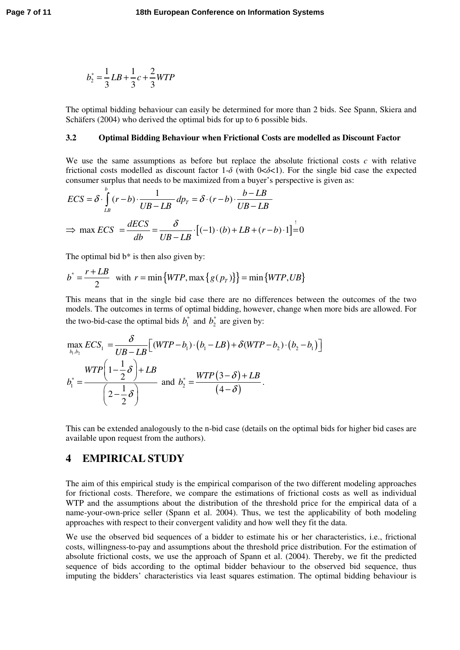$$
b_2^* = \frac{1}{3}LB + \frac{1}{3}c + \frac{2}{3}WTP
$$

The optimal bidding behaviour can easily be determined for more than 2 bids. See Spann, Skiera and Schäfers (2004) who derived the optimal bids for up to 6 possible bids.

#### **3.2 Optimal Bidding Behaviour when Frictional Costs are modelled as Discount Factor**

We use the same assumptions as before but replace the absolute frictional costs *c* with relative frictional costs modelled as discount factor 1- $\delta$  (with 0< $\delta$ <1). For the single bid case the expected consumer surplus that needs to be maximized from a buyer's perspective is given as:

$$
ECS = \delta \cdot \int_{LB}^{b} (r - b) \cdot \frac{1}{UB - LB} dp_T = \delta \cdot (r - b) \cdot \frac{b - LB}{UB - LB}
$$
  
\n
$$
\Rightarrow \max ECS = \frac{dECS}{db} = \frac{\delta}{UB - LB} \cdot [(-1) \cdot (b) + LB + (r - b) \cdot 1] = 0
$$

The optimal bid  $b^*$  is then also given by:

$$
b^* = \frac{r + LB}{2} \quad \text{with} \quad r = \min\{WTP, \max\{g(p_T)\}\} = \min\{WTP, UB\}
$$

This means that in the single bid case there are no differences between the outcomes of the two models. The outcomes in terms of optimal bidding, however, change when more bids are allowed. For the two-bid-case the optimal bids  $b_1^*$  and  $b_2^*$  are given by:

$$
\max_{b_1, b_2} ECS_1 = \frac{\delta}{UB - LB} \Big[ (WTP - b_1) \cdot (b_1 - LB) + \delta(WTP - b_2) \cdot (b_2 - b_1) \Big]
$$
  

$$
b_1^* = \frac{WTP \Big( 1 - \frac{1}{2} \delta \Big) + LB}{\Big( 2 - \frac{1}{2} \delta \Big)}
$$
 and 
$$
b_2^* = \frac{WTP \Big( 3 - \delta \Big) + LB}{\Big( 4 - \delta \Big)}.
$$

This can be extended analogously to the n-bid case (details on the optimal bids for higher bid cases are available upon request from the authors).

# **4 EMPIRICAL STUDY**

The aim of this empirical study is the empirical comparison of the two different modeling approaches for frictional costs. Therefore, we compare the estimations of frictional costs as well as individual WTP and the assumptions about the distribution of the threshold price for the empirical data of a name-your-own-price seller (Spann et al. 2004). Thus, we test the applicability of both modeling approaches with respect to their convergent validity and how well they fit the data.

We use the observed bid sequences of a bidder to estimate his or her characteristics, i.e., frictional costs, willingness-to-pay and assumptions about the threshold price distribution. For the estimation of absolute frictional costs, we use the approach of Spann et al. (2004). Thereby, we fit the predicted sequence of bids according to the optimal bidder behaviour to the observed bid sequence, thus imputing the bidders' characteristics via least squares estimation. The optimal bidding behaviour is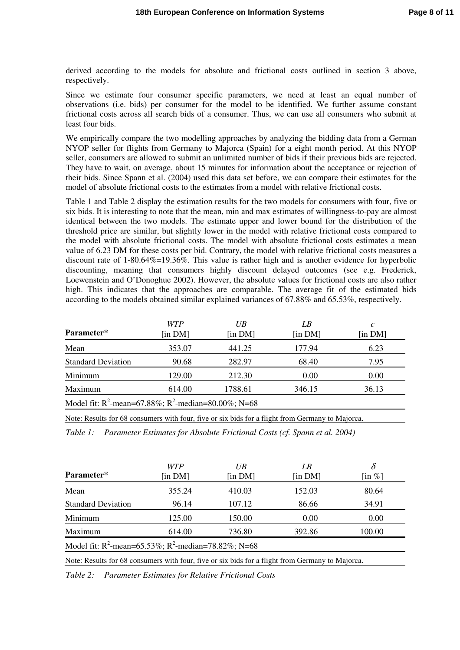derived according to the models for absolute and frictional costs outlined in section 3 above, respectively.

Since we estimate four consumer specific parameters, we need at least an equal number of observations (i.e. bids) per consumer for the model to be identified. We further assume constant frictional costs across all search bids of a consumer. Thus, we can use all consumers who submit at least four bids.

We empirically compare the two modelling approaches by analyzing the bidding data from a German NYOP seller for flights from Germany to Majorca (Spain) for a eight month period. At this NYOP seller, consumers are allowed to submit an unlimited number of bids if their previous bids are rejected. They have to wait, on average, about 15 minutes for information about the acceptance or rejection of their bids. Since Spann et al. (2004) used this data set before, we can compare their estimates for the model of absolute frictional costs to the estimates from a model with relative frictional costs.

Table 1 and Table 2 display the estimation results for the two models for consumers with four, five or six bids. It is interesting to note that the mean, min and max estimates of willingness-to-pay are almost identical between the two models. The estimate upper and lower bound for the distribution of the threshold price are similar, but slightly lower in the model with relative frictional costs compared to the model with absolute frictional costs. The model with absolute frictional costs estimates a mean value of 6.23 DM for these costs per bid. Contrary, the model with relative frictional costs measures a discount rate of  $1-80.64\% = 19.36\%$ . This value is rather high and is another evidence for hyperbolic discounting, meaning that consumers highly discount delayed outcomes (see e.g. Frederick, Loewenstein and O'Donoghue 2002). However, the absolute values for frictional costs are also rather high. This indicates that the approaches are comparable. The average fit of the estimated bids according to the models obtained similar explained variances of 67.88% and 65.53%, respectively.

| Parameter*                                                | <b>WTP</b><br>$\left[ \text{in DM} \right]$ | $U\mathcal{B}$<br>[in $DM$ ] | LB<br>$\left[ \text{in DM} \right]$ | C<br>$\left[ \text{in DM} \right]$ |
|-----------------------------------------------------------|---------------------------------------------|------------------------------|-------------------------------------|------------------------------------|
| Mean                                                      | 353.07                                      | 441.25                       | 177.94                              | 6.23                               |
| <b>Standard Deviation</b>                                 | 90.68                                       | 282.97                       | 68.40                               | 7.95                               |
| Minimum                                                   | 129.00                                      | 212.30                       | 0.00                                | 0.00                               |
| Maximum                                                   | 614.00                                      | 1788.61                      | 346.15                              | 36.13                              |
| Model fit: $R^2$ -mean=67.88%; $R^2$ -median=80.00%; N=68 |                                             |                              |                                     |                                    |

Note: Results for 68 consumers with four, five or six bids for a flight from Germany to Majorca.

*Table 1: Parameter Estimates for Absolute Frictional Costs (cf. Spann et al. 2004)* 

| Parameter*                                                | <b>WTP</b><br>[in DM] | UB<br>[in DM] | LB<br>$\left[ \text{in DM} \right]$ | $\delta$<br>$\left[\text{in } \% \right]$ |  |  |
|-----------------------------------------------------------|-----------------------|---------------|-------------------------------------|-------------------------------------------|--|--|
| Mean                                                      | 355.24                | 410.03        | 152.03                              | 80.64                                     |  |  |
| <b>Standard Deviation</b>                                 | 96.14                 | 107.12        | 86.66                               | 34.91                                     |  |  |
| Minimum                                                   | 125.00                | 150.00        | 0.00                                | 0.00                                      |  |  |
| Maximum                                                   | 614.00                | 736.80        | 392.86                              | 100.00                                    |  |  |
| Model fit: $R^2$ -mean=65.53%; $R^2$ -median=78.82%; N=68 |                       |               |                                     |                                           |  |  |

Note: Results for 68 consumers with four, five or six bids for a flight from Germany to Majorca.

*Table 2: Parameter Estimates for Relative Frictional Costs*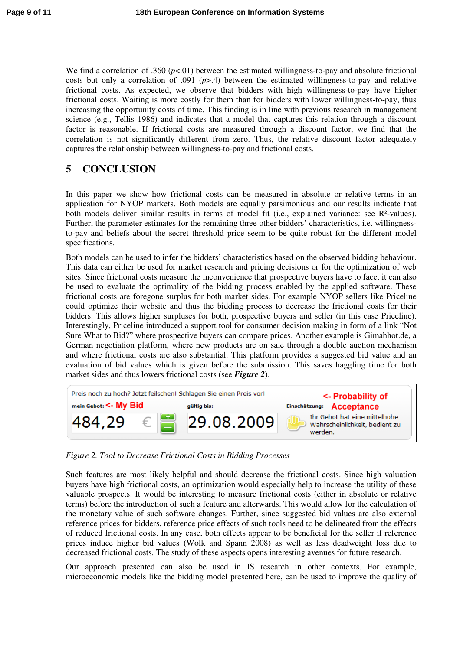We find a correlation of .360 ( $p<01$ ) between the estimated willingness-to-pay and absolute frictional costs but only a correlation of .091 (*p*>.4) between the estimated willingness-to-pay and relative frictional costs. As expected, we observe that bidders with high willingness-to-pay have higher frictional costs. Waiting is more costly for them than for bidders with lower willingness-to-pay, thus increasing the opportunity costs of time. This finding is in line with previous research in management science (e.g., Tellis 1986) and indicates that a model that captures this relation through a discount factor is reasonable. If frictional costs are measured through a discount factor, we find that the correlation is not significantly different from zero. Thus, the relative discount factor adequately captures the relationship between willingness-to-pay and frictional costs.

# **5 CONCLUSION**

In this paper we show how frictional costs can be measured in absolute or relative terms in an application for NYOP markets. Both models are equally parsimonious and our results indicate that both models deliver similar results in terms of model fit (i.e., explained variance: see R<sup>2</sup>-values). Further, the parameter estimates for the remaining three other bidders' characteristics, i.e. willingnessto-pay and beliefs about the secret threshold price seem to be quite robust for the different model specifications.

Both models can be used to infer the bidders' characteristics based on the observed bidding behaviour. This data can either be used for market research and pricing decisions or for the optimization of web sites. Since frictional costs measure the inconvenience that prospective buyers have to face, it can also be used to evaluate the optimality of the bidding process enabled by the applied software. These frictional costs are foregone surplus for both market sides. For example NYOP sellers like Priceline could optimize their website and thus the bidding process to decrease the frictional costs for their bidders. This allows higher surpluses for both, prospective buyers and seller (in this case Priceline). Interestingly, Priceline introduced a support tool for consumer decision making in form of a link "Not Sure What to Bid?" where prospective buyers can compare prices. Another example is Gimahhot.de, a German negotiation platform, where new products are on sale through a double auction mechanism and where frictional costs are also substantial. This platform provides a suggested bid value and an evaluation of bid values which is given before the submission. This saves haggling time for both market sides and thus lowers frictional costs (see *Figure 2*).



*Figure 2. Tool to Decrease Frictional Costs in Bidding Processes* 

Such features are most likely helpful and should decrease the frictional costs. Since high valuation buyers have high frictional costs, an optimization would especially help to increase the utility of these valuable prospects. It would be interesting to measure frictional costs (either in absolute or relative terms) before the introduction of such a feature and afterwards. This would allow for the calculation of the monetary value of such software changes. Further, since suggested bid values are also external reference prices for bidders, reference price effects of such tools need to be delineated from the effects of reduced frictional costs. In any case, both effects appear to be beneficial for the seller if reference prices induce higher bid values (Wolk and Spann 2008) as well as less deadweight loss due to decreased frictional costs. The study of these aspects opens interesting avenues for future research.

Our approach presented can also be used in IS research in other contexts. For example, microeconomic models like the bidding model presented here, can be used to improve the quality of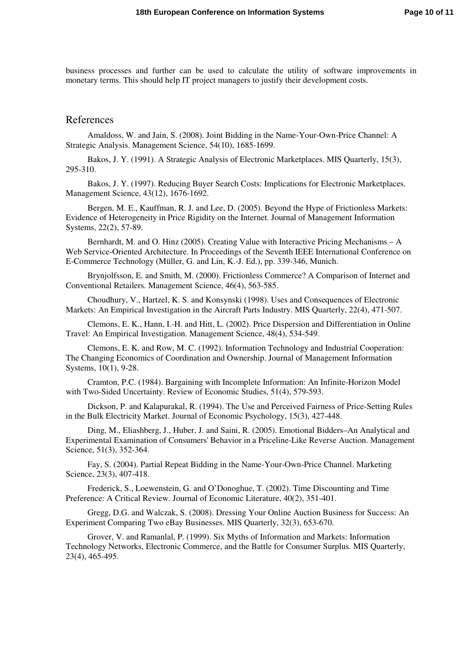business processes and further can be used to calculate the utility of software improvements in monetary terms. This should help IT project managers to justify their development costs.

#### References

Amaldoss, W. and Jain, S. (2008). Joint Bidding in the Name-Your-Own-Price Channel: A Strategic Analysis. Management Science, 54(10), 1685-1699.

Bakos, J. Y. (1991). A Strategic Analysis of Electronic Marketplaces. MIS Quarterly, 15(3), 295-310.

Bakos, J. Y. (1997). Reducing Buyer Search Costs: Implications for Electronic Marketplaces. Management Science, 43(12), 1676-1692.

Bergen, M. E., Kauffman, R. J. and Lee, D. (2005). Beyond the Hype of Frictionless Markets: Evidence of Heterogeneity in Price Rigidity on the Internet. Journal of Management Information Systems, 22(2), 57-89.

Bernhardt, M. and O. Hinz (2005). Creating Value with Interactive Pricing Mechanisms – A Web Service-Oriented Architecture. In Proceedings of the Seventh IEEE International Conference on E-Commerce Technology (Müller, G. and Lin, K.-J. Ed.), pp. 339-346, Munich.

Brynjolfsson, E. and Smith, M. (2000). Frictionless Commerce? A Comparison of Internet and Conventional Retailers. Management Science, 46(4), 563-585.

Choudhury, V., Hartzel, K. S. and Konsynski (1998). Uses and Consequences of Electronic Markets: An Empirical Investigation in the Aircraft Parts Industry. MIS Quarterly, 22(4), 471-507.

Clemons, E. K., Hann, I.-H. and Hitt, L. (2002). Price Dispersion and Differentiation in Online Travel: An Empirical Investigation. Management Science, 48(4), 534-549.

Clemons, E. K. and Row, M. C. (1992). Information Technology and Industrial Cooperation: The Changing Economics of Coordination and Ownership. Journal of Management Information Systems, 10(1), 9-28.

Cramton, P.C. (1984). Bargaining with Incomplete Information: An Infinite-Horizon Model with Two-Sided Uncertainty. Review of Economic Studies, 51(4), 579-593.

Dickson, P. and Kalapurakal, R. (1994). The Use and Perceived Fairness of Price-Setting Rules in the Bulk Electricity Market. Journal of Economic Psychology, 15(3), 427-448.

Ding, M., Eliashberg, J., Huber, J. and Saini, R. (2005). Emotional Bidders–An Analytical and Experimental Examination of Consumers' Behavior in a Priceline-Like Reverse Auction. Management Science, 51(3), 352-364.

Fay, S. (2004). Partial Repeat Bidding in the Name-Your-Own-Price Channel. Marketing Science, 23(3), 407-418.

Frederick, S., Loewenstein, G. and O'Donoghue, T. (2002). Time Discounting and Time Preference: A Critical Review. Journal of Economic Literature, 40(2), 351-401.

Gregg, D.G. and Walczak, S. (2008). Dressing Your Online Auction Business for Success: An Experiment Comparing Two eBay Businesses. MIS Quarterly, 32(3), 653-670.

Grover, V. and Ramanlal, P. (1999). Six Myths of Information and Markets: Information Technology Networks, Electronic Commerce, and the Battle for Consumer Surplus. MIS Quarterly, 23(4), 465-495.